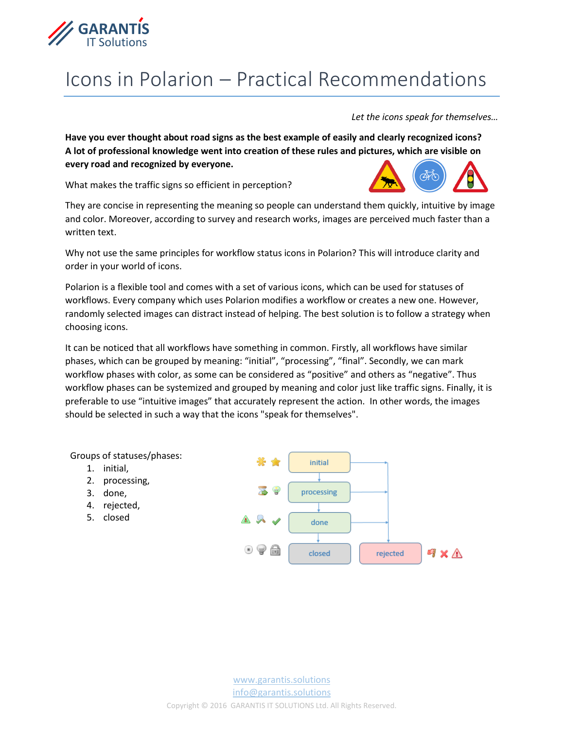

## Icons in Polarion – Practical Recommendations

*Let the icons speak for themselves…*

**Have you ever thought about road signs as the best example of easily and clearly recognized icons? A lot of professional knowledge went into creation of these rules and pictures, which are visible on every road and recognized by everyone.** 

What makes the traffic signs so efficient in perception?



They are concise in representing the meaning so people can understand them quickly, intuitive by image and color. Moreover, according to survey and research works, images are perceived much faster than a written text.

Why not use the same principles for workflow status icons in Polarion? This will introduce clarity and order in your world of icons.

Polarion is a flexible tool and comes with a set of various icons, which can be used for statuses of workflows. Every company which uses Polarion modifies a workflow or creates a new one. However, randomly selected images can distract instead of helping. The best solution is to follow a strategy when choosing icons.

It can be noticed that all workflows have something in common. Firstly, all workflows have similar phases, which can be grouped by meaning: "initial", "processing", "final". Secondly, we can mark workflow phases with color, as some can be considered as "positive" and others as "negative". Thus workflow phases can be systemized and grouped by meaning and color just like traffic signs. Finally, it is preferable to use "intuitive images" that accurately represent the action. In other words, the images should be selected in such a way that the icons "speak for themselves".



- 1. initial,
- 2. processing,
- 3. done,
- 4. rejected,
- 5. closed